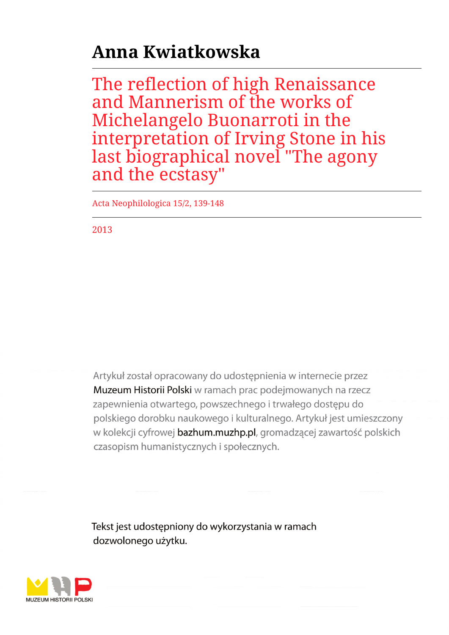## **Anna Kwiatkowska**

The reflection of high Renaissance and Mannerism of the works of Michelangelo Buonarroti in the interpretation of Irving Stone in his last biographical novel "The agony and the ecstasy"

Acta Neophilologica 15/2, 139-148

2013

Artykuł został opracowany do udostępnienia w internecie przez Muzeum Historii Polski w ramach prac podejmowanych na rzecz zapewnienia otwartego, powszechnego i trwałego dostępu do polskiego dorobku naukowego i kulturalnego. Artykuł jest umieszczony w kolekcji cyfrowej bazhum.muzhp.pl, gromadzącej zawartość polskich czasopism humanistycznych i społecznych.

Tekst jest udostępniony do wykorzystania w ramach dozwolonego użytku.

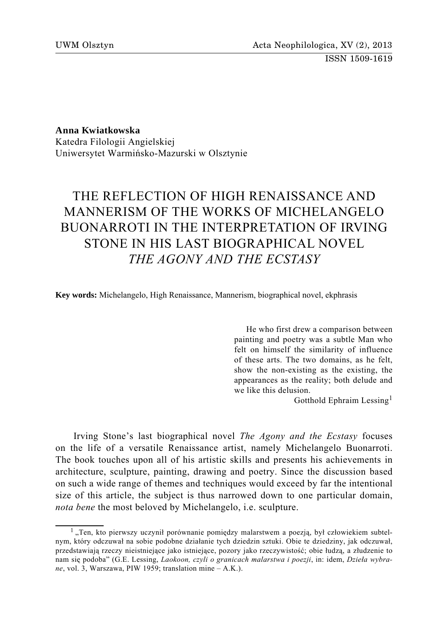ISSN 1509-1619

**Anna Kwiatkowska**  Katedra Filologii Angielskiej Uniwersytet Warmińsko-Mazurski w Olsztynie

## THE REFLECTION OF HIGH RENAISSANCE AND MANNERISM OF THE WORKS OF MICHELANGELO BUONARROTI IN THE INTERPRETATION OF IRVING STONE IN HIS LAST BIOGRAPHICAL NOVEL *THE AGONY AND THE ECSTASY*

**Key words:** Michelangelo, High Renaissance, Mannerism, biographical novel, ekphrasis

He who first drew a comparison between painting and poetry was a subtle Man who felt on himself the similarity of influence of these arts. The two domains, as he felt, show the non-existing as the existing, the appearances as the reality; both delude and we like this delusion.

Gotthold Ephraim Lessing<sup>1</sup>

Irving Stone's last biographical novel *The Agony and the Ecstasy* focuses on the life of a versatile Renaissance artist, namely Michelangelo Buonarroti. The book touches upon all of his artistic skills and presents his achievements in architecture, sculpture, painting, drawing and poetry. Since the discussion based on such a wide range of themes and techniques would exceed by far the intentional size of this article, the subject is thus narrowed down to one particular domain, *nota bene* the most beloved by Michelangelo, i.e. sculpture.

<sup>&</sup>lt;sup>1</sup> "Ten, kto pierwszy uczynił porównanie pomiędzy malarstwem a poezją, był człowiekiem subtelnym, który odczuwał na sobie podobne działanie tych dziedzin sztuki. Obie te dziedziny, jak odczuwał, przedstawiają rzeczy nieistniejące jako istniejące, pozory jako rzeczywistość; obie łudzą, a złudzenie to nam się podoba" (G.E. Lessing, *Laokoon, czyli o granicach malarstwa i poezji*, in: idem, *Dzieła wybrane*, vol. 3, Warszawa, PIW 1959; translation mine – A.K.).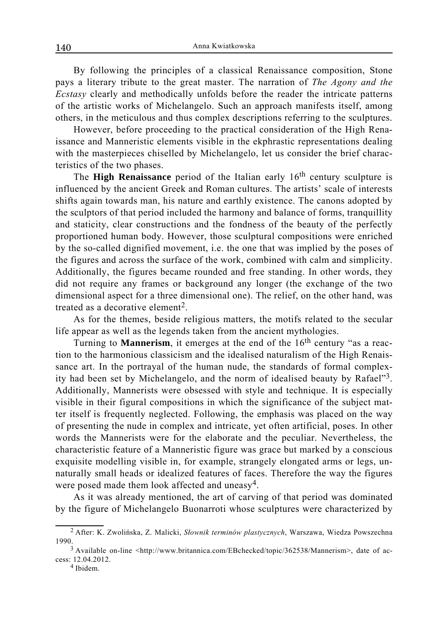By following the principles of a classical Renaissance composition, Stone pays a literary tribute to the great master. The narration of *The Agony and the Ecstasy* clearly and methodically unfolds before the reader the intricate patterns of the artistic works of Michelangelo. Such an approach manifests itself, among others, in the meticulous and thus complex descriptions referring to the sculptures.

However, before proceeding to the practical consideration of the High Renaissance and Manneristic elements visible in the ekphrastic representations dealing with the masterpieces chiselled by Michelangelo, let us consider the brief characteristics of the two phases.

The **High Renaissance** period of the Italian early 16<sup>th</sup> century sculpture is influenced by the ancient Greek and Roman cultures. The artists' scale of interests shifts again towards man, his nature and earthly existence. The canons adopted by the sculptors of that period included the harmony and balance of forms, tranquillity and staticity, clear constructions and the fondness of the beauty of the perfectly proportioned human body. However, those sculptural compositions were enriched by the so-called dignified movement, i.e. the one that was implied by the poses of the figures and across the surface of the work, combined with calm and simplicity. Additionally, the figures became rounded and free standing. In other words, they did not require any frames or background any longer (the exchange of the two dimensional aspect for a three dimensional one). The relief, on the other hand, was treated as a decorative element<sup>2</sup>.

As for the themes, beside religious matters, the motifs related to the secular life appear as well as the legends taken from the ancient mythologies.

Turning to **Mannerism**, it emerges at the end of the 16<sup>th</sup> century "as a reaction to the harmonious classicism and the idealised naturalism of the High Renaissance art. In the portrayal of the human nude, the standards of formal complexity had been set by Michelangelo, and the norm of idealised beauty by Rafael"3. Additionally, Mannerists were obsessed with style and technique. It is especially visible in their figural compositions in which the significance of the subject matter itself is frequently neglected. Following, the emphasis was placed on the way of presenting the nude in complex and intricate, yet often artificial, poses. In other words the Mannerists were for the elaborate and the peculiar. Nevertheless, the characteristic feature of a Manneristic figure was grace but marked by a conscious exquisite modelling visible in, for example, strangely elongated arms or legs, unnaturally small heads or idealized features of faces. Therefore the way the figures were posed made them look affected and uneasy<sup>4</sup>.

As it was already mentioned, the art of carving of that period was dominated by the figure of Michelangelo Buonarroti whose sculptures were characterized by

<sup>2</sup> After: K. Zwolińska, Z. Malicki, *Słownik terminów plastycznych*, Warszawa, Wiedza Powszechna 1990.<br><sup>3</sup> Available on-line <http://www.britannica.com/EBchecked/topic/362538/Mannerism>, date of ac-

cess: 12.04.2012.<br><sup>4</sup> Ibidem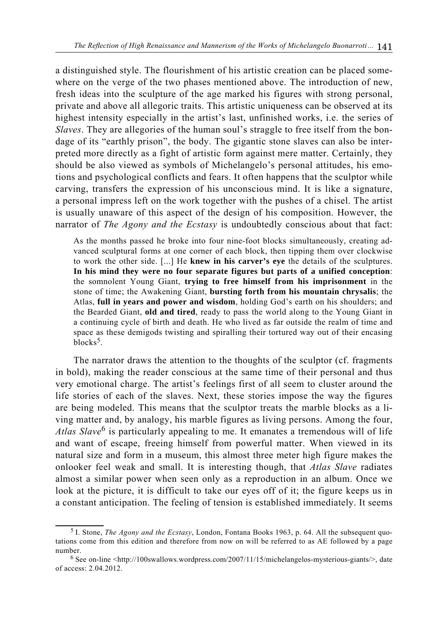a distinguished style. The flourishment of his artistic creation can be placed somewhere on the verge of the two phases mentioned above. The introduction of new, fresh ideas into the sculpture of the age marked his figures with strong personal, private and above all allegoric traits. This artistic uniqueness can be observed at its highest intensity especially in the artist's last, unfinished works, i.e. the series of *Slaves*. They are allegories of the human soul's straggle to free itself from the bondage of its "earthly prison", the body. The gigantic stone slaves can also be interpreted more directly as a fight of artistic form against mere matter. Certainly, they should be also viewed as symbols of Michelangelo's personal attitudes, his emotions and psychological conflicts and fears. It often happens that the sculptor while carving, transfers the expression of his unconscious mind. It is like a signature, a personal impress left on the work together with the pushes of a chisel. The artist is usually unaware of this aspect of the design of his composition. However, the narrator of *The Agony and the Ecstasy* is undoubtedly conscious about that fact:

As the months passed he broke into four nine-foot blocks simultaneously, creating advanced sculptural forms at one corner of each block, then tipping them over clockwise to work the other side. [...] He **knew in his carver's eye** the details of the sculptures. **In his mind they were no four separate figures but parts of a unified conception**: the somnolent Young Giant, **trying to free himself from his imprisonment** in the stone of time; the Awakening Giant, **bursting forth from his mountain chrysalis**; the Atlas, **full in years and power and wisdom**, holding God's earth on his shoulders; and the Bearded Giant, **old and tired**, ready to pass the world along to the Young Giant in a continuing cycle of birth and death. He who lived as far outside the realm of time and space as these demigods twisting and spiralling their tortured way out of their encasing blocks<sup>5</sup>.

The narrator draws the attention to the thoughts of the sculptor (cf. fragments in bold), making the reader conscious at the same time of their personal and thus very emotional charge. The artist's feelings first of all seem to cluster around the life stories of each of the slaves. Next, these stories impose the way the figures are being modeled. This means that the sculptor treats the marble blocks as a living matter and, by analogy, his marble figures as living persons. Among the four, *Atlas Slave*6 is particularly appealing to me. It emanates a tremendous will of life and want of escape, freeing himself from powerful matter. When viewed in its natural size and form in a museum, this almost three meter high figure makes the onlooker feel weak and small. It is interesting though, that *Atlas Slave* radiates almost a similar power when seen only as a reproduction in an album. Once we look at the picture, it is difficult to take our eyes off of it; the figure keeps us in a constant anticipation. The feeling of tension is established immediately. It seems

<sup>5</sup> I. Stone, *The Agony and the Ecstasy*, London, Fontana Books 1963, p. 64. All the subsequent quotations come from this edition and therefore from now on will be referred to as AE followed by a page number.<br><sup>6</sup> See on-line <http://100swallows.wordpress.com/2007/11/15/michelangelos-mysterious-giants/>, date

of access: 2.04.2012.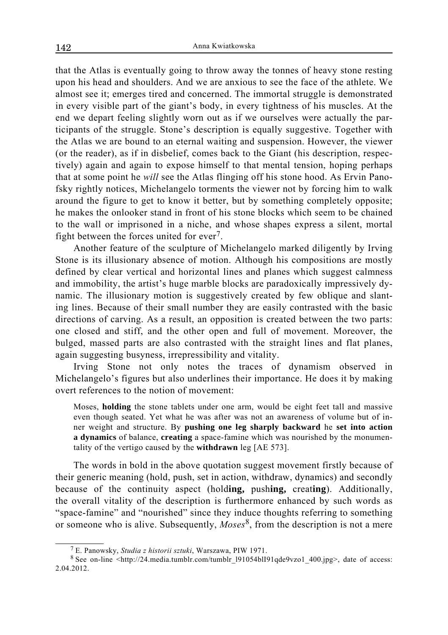that the Atlas is eventually going to throw away the tonnes of heavy stone resting upon his head and shoulders. And we are anxious to see the face of the athlete. We almost see it; emerges tired and concerned. The immortal struggle is demonstrated in every visible part of the giant's body, in every tightness of his muscles. At the end we depart feeling slightly worn out as if we ourselves were actually the participants of the struggle. Stone's description is equally suggestive. Together with the Atlas we are bound to an eternal waiting and suspension. However, the viewer (or the reader), as if in disbelief, comes back to the Giant (his description, respectively) again and again to expose himself to that mental tension, hoping perhaps that at some point he *will* see the Atlas flinging off his stone hood. As Ervin Panofsky rightly notices, Michelangelo torments the viewer not by forcing him to walk around the figure to get to know it better, but by something completely opposite; he makes the onlooker stand in front of his stone blocks which seem to be chained to the wall or imprisoned in a niche, and whose shapes express a silent, mortal fight between the forces united for ever<sup>7</sup>.

Another feature of the sculpture of Michelangelo marked diligently by Irving Stone is its illusionary absence of motion. Although his compositions are mostly defined by clear vertical and horizontal lines and planes which suggest calmness and immobility, the artist's huge marble blocks are paradoxically impressively dynamic. The illusionary motion is suggestively created by few oblique and slanting lines. Because of their small number they are easily contrasted with the basic directions of carving. As a result, an opposition is created between the two parts: one closed and stiff, and the other open and full of movement. Moreover, the bulged, massed parts are also contrasted with the straight lines and flat planes, again suggesting busyness, irrepressibility and vitality.

Irving Stone not only notes the traces of dynamism observed in Michelangelo's figures but also underlines their importance. He does it by making overt references to the notion of movement:

Moses, **holding** the stone tablets under one arm, would be eight feet tall and massive even though seated. Yet what he was after was not an awareness of volume but of inner weight and structure. By **pushing one leg sharply backward** he **set into action a dynamics** of balance, **creating** a space-famine which was nourished by the monumentality of the vertigo caused by the **withdrawn** leg [AE 573].

The words in bold in the above quotation suggest movement firstly because of their generic meaning (hold, push, set in action, withdraw, dynamics) and secondly because of the continuity aspect (hold**ing,** push**ing,** creat**ing**). Additionally, the overall vitality of the description is furthermore enhanced by such words as "space-famine" and "nourished" since they induce thoughts referring to something or someone who is alive. Subsequently, *Moses*8, from the description is not a mere

<sup>7</sup> E. Panowsky, *Studia z historii sztuki*, Warszawa, PIW 1971.

<sup>8</sup> See on-line <http://24.media.tumblr.com/tumblr 191054blI91qde9vzo1 400.jpg>, date of access: 2.04.2012.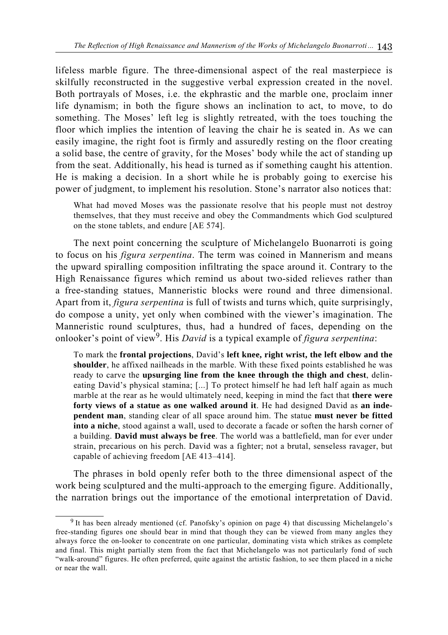lifeless marble figure. The three-dimensional aspect of the real masterpiece is skilfully reconstructed in the suggestive verbal expression created in the novel. Both portrayals of Moses, i.e. the ekphrastic and the marble one, proclaim inner life dynamism; in both the figure shows an inclination to act, to move, to do something. The Moses' left leg is slightly retreated, with the toes touching the floor which implies the intention of leaving the chair he is seated in. As we can easily imagine, the right foot is firmly and assuredly resting on the floor creating a solid base, the centre of gravity, for the Moses' body while the act of standing up from the seat. Additionally, his head is turned as if something caught his attention. He is making a decision. In a short while he is probably going to exercise his power of judgment, to implement his resolution. Stone's narrator also notices that:

What had moved Moses was the passionate resolve that his people must not destroy themselves, that they must receive and obey the Commandments which God sculptured on the stone tablets, and endure [AE 574].

The next point concerning the sculpture of Michelangelo Buonarroti is going to focus on his *figura serpentina*. The term was coined in Mannerism and means the upward spiralling composition infiltrating the space around it. Contrary to the High Renaissance figures which remind us about two-sided relieves rather than a free-standing statues, Manneristic blocks were round and three dimensional. Apart from it, *figura serpentina* is full of twists and turns which, quite surprisingly, do compose a unity, yet only when combined with the viewer's imagination. The Manneristic round sculptures, thus, had a hundred of faces, depending on the onlooker's point of view9. His *David* is a typical example of *figura serpentina*:

To mark the **frontal projections**, David's **left knee, right wrist, the left elbow and the shoulder**, he affixed nailheads in the marble. With these fixed points established he was ready to carve the **upsurging line from the knee through the thigh and chest**, delineating David's physical stamina; [...] To protect himself he had left half again as much marble at the rear as he would ultimately need, keeping in mind the fact that **there were forty views of a statue as one walked around it**. He had designed David as **an independent man**, standing clear of all space around him. The statue **must never be fitted into a niche**, stood against a wall, used to decorate a facade or soften the harsh corner of a building. **David must always be free**. The world was a battlefield, man for ever under strain, precarious on his perch. David was a fighter; not a brutal, senseless ravager, but capable of achieving freedom [AE 413–414].

The phrases in bold openly refer both to the three dimensional aspect of the work being sculptured and the multi-approach to the emerging figure. Additionally, the narration brings out the importance of the emotional interpretation of David.

<sup>9</sup> It has been already mentioned (cf. Panofsky's opinion on page 4) that discussing Michelangelo's free-standing figures one should bear in mind that though they can be viewed from many angles they always force the on-looker to concentrate on one particular, dominating vista which strikes as complete and final. This might partially stem from the fact that Michelangelo was not particularly fond of such "walk-around" figures. He often preferred, quite against the artistic fashion, to see them placed in a niche or near the wall.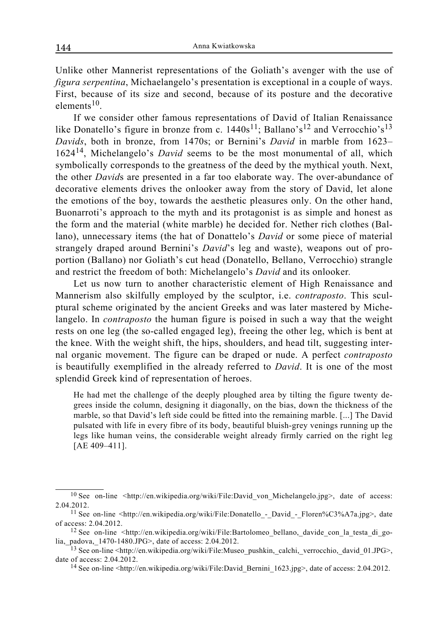Unlike other Mannerist representations of the Goliath's avenger with the use of *figura serpentina*, Michaelangelo's presentation is exceptional in a couple of ways. First, because of its size and second, because of its posture and the decorative elements<sup>10</sup>

If we consider other famous representations of David of Italian Renaissance like Donatello's figure in bronze from c.  $1440s^{11}$ ; Ballano's<sup>12</sup> and Verrocchio's<sup>13</sup> *Davids*, both in bronze, from 1470s; or Bernini's *David* in marble from 1623– 162414, Michelangelo's *David* seems to be the most monumental of all, which symbolically corresponds to the greatness of the deed by the mythical youth. Next, the other *David*s are presented in a far too elaborate way. The over-abundance of decorative elements drives the onlooker away from the story of David, let alone the emotions of the boy, towards the aesthetic pleasures only. On the other hand, Buonarroti's approach to the myth and its protagonist is as simple and honest as the form and the material (white marble) he decided for. Nether rich clothes (Ballano), unnecessary items (the hat of Donattelo's *David* or some piece of material strangely draped around Bernini's *David*'s leg and waste), weapons out of proportion (Ballano) nor Goliath's cut head (Donatello, Bellano, Verrocchio) strangle and restrict the freedom of both: Michelangelo's *David* and its onlooker*.*

Let us now turn to another characteristic element of High Renaissance and Mannerism also skilfully employed by the sculptor, i.e. *contraposto*. This sculptural scheme originated by the ancient Greeks and was later mastered by Michelangelo. In *contraposto* the human figure is poised in such a way that the weight rests on one leg (the so-called engaged leg), freeing the other leg, which is bent at the knee. With the weight shift, the hips, shoulders, and head tilt, suggesting internal organic movement. The figure can be draped or nude. A perfect *contraposto* is beautifully exemplified in the already referred to *David*. It is one of the most splendid Greek kind of representation of heroes.

He had met the challenge of the deeply ploughed area by tilting the figure twenty degrees inside the column, designing it diagonally, on the bias, down the thickness of the marble, so that David's left side could be fitted into the remaining marble. [...] The David pulsated with life in every fibre of its body, beautiful bluish-grey venings running up the legs like human veins, the considerable weight already firmly carried on the right leg [AE 409-411].

<sup>&</sup>lt;sup>10</sup> See on-line <http://en.wikipedia.org/wiki/File:David von Michelangelo.jpg>, date of access: 2.04.2012.

<sup>&</sup>lt;sup>11</sup> See on-line <http://en.wikipedia.org/wiki/File:Donatello - David - Floren%C3%A7a.jpg>, date of access: 2.04.2012.

<sup>&</sup>lt;sup>12</sup> See on-line <http://en.wikipedia.org/wiki/File:Bartolomeo\_bellano,\_davide\_con\_la\_testa\_di\_golia,\_padova,\_1470-1480.JPG>, date of access: 2.04.2012.

<sup>&</sup>lt;sup>13</sup> See on-line <http://en.wikipedia.org/wiki/File:Museo\_pushkin,\_calchi,\_verrocchio,\_david\_01.JPG>, date of access: 2.04.2012.

<sup>&</sup>lt;sup>14</sup> See on-line <http://en.wikipedia.org/wiki/File:David\_Bernini\_1623.jpg>, date of access: 2.04.2012.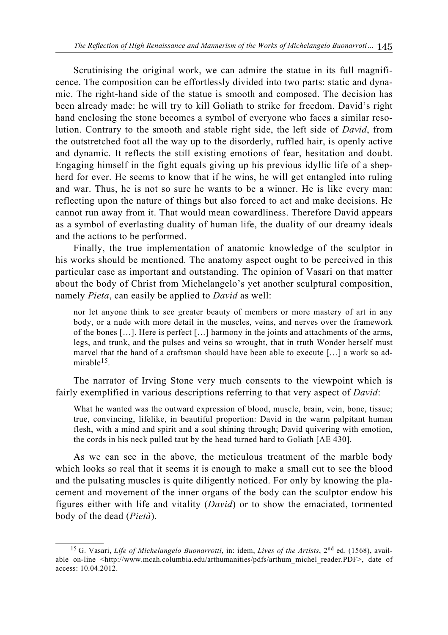Scrutinising the original work, we can admire the statue in its full magnificence. The composition can be effortlessly divided into two parts: static and dynamic. The right-hand side of the statue is smooth and composed. The decision has been already made: he will try to kill Goliath to strike for freedom. David's right hand enclosing the stone becomes a symbol of everyone who faces a similar resolution. Contrary to the smooth and stable right side, the left side of *David*, from the outstretched foot all the way up to the disorderly, ruffled hair, is openly active and dynamic. It reflects the still existing emotions of fear, hesitation and doubt. Engaging himself in the fight equals giving up his previous idyllic life of a shepherd for ever. He seems to know that if he wins, he will get entangled into ruling and war. Thus, he is not so sure he wants to be a winner. He is like every man: reflecting upon the nature of things but also forced to act and make decisions. He cannot run away from it. That would mean cowardliness. Therefore David appears as a symbol of everlasting duality of human life, the duality of our dreamy ideals and the actions to be performed.

Finally, the true implementation of anatomic knowledge of the sculptor in his works should be mentioned. The anatomy aspect ought to be perceived in this particular case as important and outstanding. The opinion of Vasari on that matter about the body of Christ from Michelangelo's yet another sculptural composition, namely *Pieta*, can easily be applied to *David* as well:

nor let anyone think to see greater beauty of members or more mastery of art in any body, or a nude with more detail in the muscles, veins, and nerves over the framework of the bones […]. Here is perfect […] harmony in the joints and attachments of the arms, legs, and trunk, and the pulses and veins so wrought, that in truth Wonder herself must marvel that the hand of a craftsman should have been able to execute […] a work so admirable $15$ .

The narrator of Irving Stone very much consents to the viewpoint which is fairly exemplified in various descriptions referring to that very aspect of *David*:

What he wanted was the outward expression of blood, muscle, brain, vein, bone, tissue; true, convincing, lifelike, in beautiful proportion: David in the warm palpitant human flesh, with a mind and spirit and a soul shining through; David quivering with emotion, the cords in his neck pulled taut by the head turned hard to Goliath [AE 430].

As we can see in the above, the meticulous treatment of the marble body which looks so real that it seems it is enough to make a small cut to see the blood and the pulsating muscles is quite diligently noticed. For only by knowing the placement and movement of the inner organs of the body can the sculptor endow his figures either with life and vitality (*David*) or to show the emaciated, tormented body of the dead (*Pietà*).

<sup>15</sup> G. Vasari, *Life of Michelangelo Buonarrotti*, in: idem, *Lives of the Artists*, 2nd ed. (1568), available on-line <http://www.mcah.columbia.edu/arthumanities/pdfs/arthum\_michel\_reader.PDF>, date of access: 10.04.2012.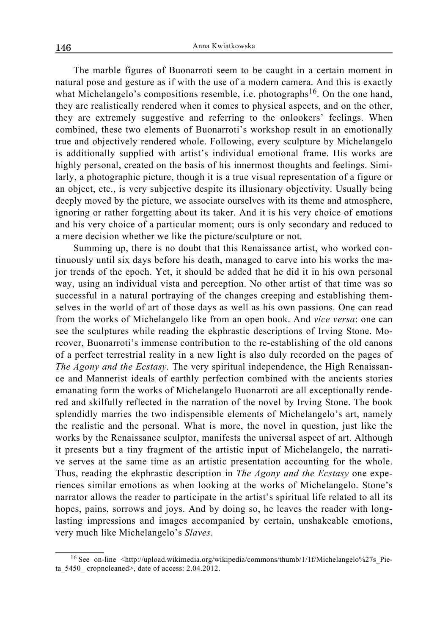The marble figures of Buonarroti seem to be caught in a certain moment in natural pose and gesture as if with the use of a modern camera. And this is exactly what Michelangelo's compositions resemble, i.e. photographs<sup>16</sup>. On the one hand, they are realistically rendered when it comes to physical aspects, and on the other, they are extremely suggestive and referring to the onlookers' feelings. When combined, these two elements of Buonarroti's workshop result in an emotionally true and objectively rendered whole. Following, every sculpture by Michelangelo is additionally supplied with artist's individual emotional frame. His works are highly personal, created on the basis of his innermost thoughts and feelings. Similarly, a photographic picture, though it is a true visual representation of a figure or an object, etc., is very subjective despite its illusionary objectivity. Usually being deeply moved by the picture, we associate ourselves with its theme and atmosphere, ignoring or rather forgetting about its taker. And it is his very choice of emotions and his very choice of a particular moment; ours is only secondary and reduced to a mere decision whether we like the picture/sculpture or not.

Summing up, there is no doubt that this Renaissance artist, who worked continuously until six days before his death, managed to carve into his works the major trends of the epoch. Yet, it should be added that he did it in his own personal way, using an individual vista and perception. No other artist of that time was so successful in a natural portraying of the changes creeping and establishing themselves in the world of art of those days as well as his own passions. One can read from the works of Michelangelo like from an open book. And *vice versa*: one can see the sculptures while reading the ekphrastic descriptions of Irving Stone. Moreover, Buonarroti's immense contribution to the re-establishing of the old canons of a perfect terrestrial reality in a new light is also duly recorded on the pages of *The Agony and the Ecstasy.* The very spiritual independence, the High Renaissance and Mannerist ideals of earthly perfection combined with the ancients stories emanating form the works of Michelangelo Buonarroti are all exceptionally rendered and skilfully reflected in the narration of the novel by Irving Stone. The book splendidly marries the two indispensible elements of Michelangelo's art, namely the realistic and the personal. What is more, the novel in question, just like the works by the Renaissance sculptor, manifests the universal aspect of art. Although it presents but a tiny fragment of the artistic input of Michelangelo, the narrative serves at the same time as an artistic presentation accounting for the whole. Thus, reading the ekphrastic description in *The Agony and the Ecstasy* one experiences similar emotions as when looking at the works of Michelangelo. Stone's narrator allows the reader to participate in the artist's spiritual life related to all its hopes, pains, sorrows and joys. And by doing so, he leaves the reader with longlasting impressions and images accompanied by certain, unshakeable emotions, very much like Michelangelo's *Slaves*.

<sup>&</sup>lt;sup>16</sup> See on-line <http://upload.wikimedia.org/wikipedia/commons/thumb/1/1f/Michelangelo%27s Pieta\_5450\_ cropncleaned>, date of access: 2.04.2012.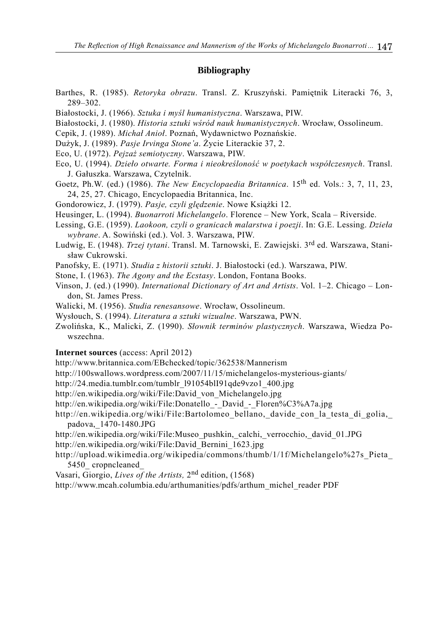## **Bibliography**

- Barthes, R. (1985). *Retoryka obrazu*. Transl. Z. Kruszyński. Pamiętnik Literacki 76, 3, 289–302.
- Białostocki, J. (1966). *Sztuka i myśl humanistyczna*. Warszawa, PIW.
- Białostocki, J. (1980). *Historia sztuki wśród nauk humanistycznych*. Wrocław, Ossolineum.
- Cepik, J. (1989). *Michał Anioł*. Poznań, Wydawnictwo Poznańskie.
- Dużyk, J. (1989). *Pasje Irvinga Stone'a*. Życie Literackie 37, 2.
- Eco, U. (1972). *Pejzaż semiotyczny*. Warszawa, PIW.
- Eco, U. (1994). *Dzieło otwarte. Forma i nieokreśloność w poetykach współczesnych*. Transl. J. Gałuszka. Warszawa, Czytelnik.
- Goetz, Ph.W. (ed.) (1986). *The New Encyclopaedia Britannica*. 15<sup>th</sup> ed. Vols.: 3, 7, 11, 23, 24, 25, 27. Chicago, Encyclopaedia Britannica, Inc.
- Gondorowicz, J. (1979). *Pasje, czyli ględzenie*. Nowe Książki 12.
- Heusinger, L. (1994). *Buonarroti Michelangelo*. Florence New York, Scala Riverside.
- Lessing, G.E. (1959). *Laokoon, czyli o granicach malarstwa i poezji*. In: G.E. Lessing. *Dzieła wybrane*. A. Sowiński (ed.). Vol. 3. Warszawa, PIW.
- Ludwig, E. (1948). *Trzej tytani*. Transl. M. Tarnowski, E. Zawiejski. 3rd ed. Warszawa, Stanisław Cukrowski.
- Panofsky, E. (1971). *Studia z historii sztuki*. J. Białostocki (ed.). Warszawa, PIW.
- Stone, I. (1963). *The Agony and the Ecstasy*. London, Fontana Books.
- Vinson, J. (ed.) (1990). *International Dictionary of Art and Artists*. Vol. 1–2. Chicago London, St. James Press.
- Walicki, M. (1956). *Studia renesansowe*. Wrocław, Ossolineum.
- Wysłouch, S. (1994). *Literatura a sztuki wizualne*. Warszawa, PWN.
- Zwolińska, K., Malicki, Z. (1990). *Słownik terminów plastycznych*. Warszawa, Wiedza Powszechna.

**Internet sources** (access: April 2012)

- http://www.britannica.com/EBchecked/topic/362538/Mannerism
- http://100swallows.wordpress.com/2007/11/15/michelangelos-mysterious-giants/
- http://24.media.tumblr.com/tumblr\_l91054blI91qde9vzo1\_400.jpg
- http://en.wikipedia.org/wiki/File:David\_von\_Michelangelo.jpg
- http://en.wikipedia.org/wiki/File:Donatello David Floren%C3%A7a.jpg
- http://en.wikipedia.org/wiki/File:Bartolomeo\_bellano, davide\_con\_la\_testa\_di\_golia, padova,\_1470-1480.JPG
- http://en.wikipedia.org/wiki/File:Museo\_pushkin,\_calchi,\_verrocchio,\_david\_01.JPG http://en.wikipedia.org/wiki/File:David\_Bernini\_1623.jpg
- http://upload.wikimedia.org/wikipedia/commons/thumb/1/1f/Michelangelo%27s\_Pieta\_ 5450 cropncleaned
- Vasari, Giorgio, *Lives of the Artists,* 2nd edition, (1568)

http://www.mcah.columbia.edu/arthumanities/pdfs/arthum\_michel\_reader PDF